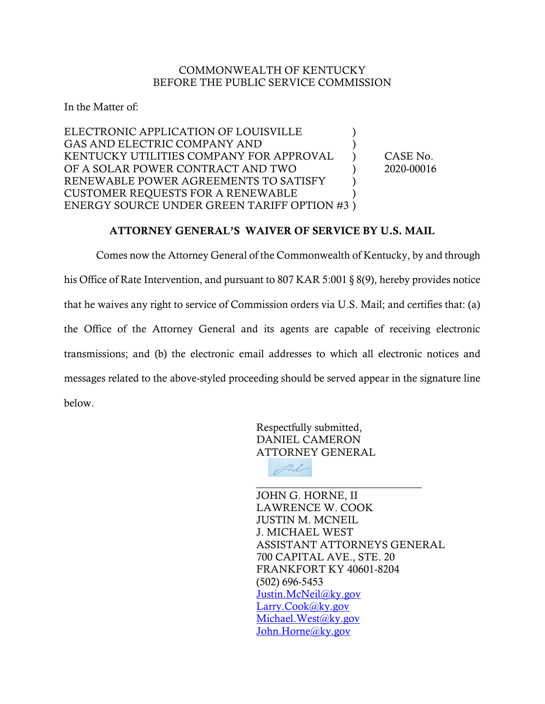## COMMONWEALTH OF KENTUCKY BEFORE THE PUBLIC SERVICE COMMISSION

In the Matter of:

ELECTRONIC APPLICATION OF LOUISVILLE  $\qquad \qquad$ GAS AND ELECTRIC COMPANY AND KENTUCKY UTILITIES COMPANY FOR APPROVAL ) CASE No. OF A SOLAR POWER CONTRACT AND TWO  $2020-00016$ RENEWABLE POWER AGREEMENTS TO SATISFY  $\qquad$  ) CUSTOMER REQUESTS FOR A RENEWABLE ) ENERGY SOURCE UNDER GREEN TARIFF OPTION #3 )

## ATTORNEY GENERAL'S WAIVER OF SERVICE BY U.S. MAIL

Comes now the Attorney General of the Commonwealth of Kentucky, by and through his Office of Rate Intervention, and pursuant to 807 KAR 5:001 § 8(9), hereby provides notice that he waives any right to service of Commission orders via U.S. Mail; and certifies that: (a) the Office of the Attorney General and its agents are capable of receiving electronic transmissions; and (b) the electronic email addresses to which all electronic notices and messages related to the above-styled proceeding should be served appear in the signature line below.

> Respectfully submitted, DANIEL CAMERON ATTORNEY GENERAL



 $\overline{\phantom{a}}$  , where  $\overline{\phantom{a}}$  , where  $\overline{\phantom{a}}$  ,  $\overline{\phantom{a}}$  ,  $\overline{\phantom{a}}$  ,  $\overline{\phantom{a}}$  ,  $\overline{\phantom{a}}$  ,  $\overline{\phantom{a}}$  ,  $\overline{\phantom{a}}$  ,  $\overline{\phantom{a}}$  ,  $\overline{\phantom{a}}$  ,  $\overline{\phantom{a}}$  ,  $\overline{\phantom{a}}$  ,  $\overline{\phantom{a}}$  ,  $\overline{\phantom{a}}$  , JOHN G. HORNE, II LAWRENCE W. COOK JUSTIN M. MCNEIL J. MICHAEL WEST ASSISTANT ATTORNEYS GENERAL 700 CAPITAL AVE., STE. 20 FRANKFORT KY 40601-8204 (502) 696-5453 [Justin.McNeil@ky.gov](mailto:Justin.McNeil@ky.gov) [Larry.Cook@ky.gov](mailto:Larry.Cook@ky.gov) [Michael.West@ky.gov](mailto:Michael.West@ky.gov) [John.Horne@ky.gov](mailto:John.Horne@ky.gov)